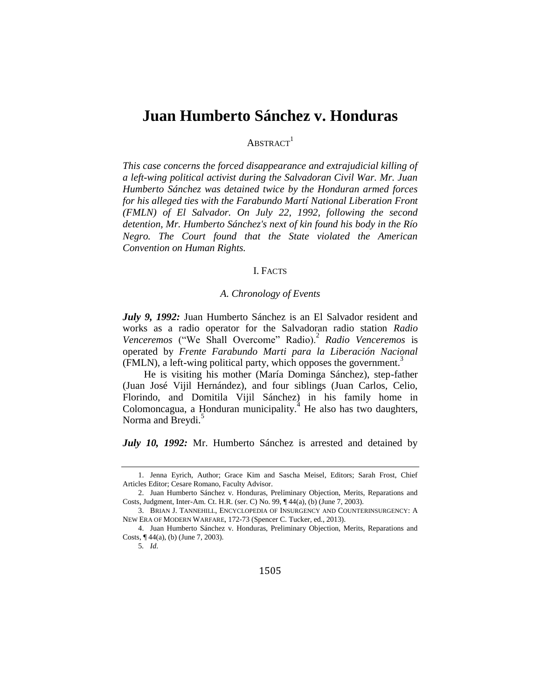# **Juan Humberto Sánchez v. Honduras**

 $ABSTRACT<sup>1</sup>$ 

*This case concerns the forced disappearance and extrajudicial killing of a left-wing political activist during the Salvadoran Civil War. Mr. Juan Humberto Sánchez was detained twice by the Honduran armed forces for his alleged ties with the Farabundo Martí National Liberation Front (FMLN) of El Salvador. On July 22, 1992, following the second detention, Mr. Humberto Sánchez's next of kin found his body in the Río Negro. The Court found that the State violated the American Convention on Human Rights.*

## I. FACTS

## *A. Chronology of Events*

*July 9, 1992:* Juan Humberto Sánchez is an El Salvador resident and works as a radio operator for the Salvadoran radio station *Radio*  Venceremos ("We Shall Overcome" Radio).<sup>2</sup> Radio Venceremos is operated by *Frente Farabundo Marti para la Liberación Nacional*  (FMLN), a left-wing political party, which opposes the government.<sup>3</sup>

He is visiting his mother (María Dominga Sánchez), step-father (Juan José Vijil Hernández), and four siblings (Juan Carlos, Celio, Florindo, and Domitila Vijil Sánchez) in his family home in Colomoncagua, a Honduran municipality.<sup>4</sup> He also has two daughters, Norma and Breydi.<sup>5</sup>

*July 10, 1992:* Mr. Humberto Sánchez is arrested and detained by

<sup>1.</sup> Jenna Eyrich, Author; Grace Kim and Sascha Meisel, Editors; Sarah Frost, Chief Articles Editor; Cesare Romano, Faculty Advisor.

<sup>2.</sup> Juan Humberto Sánchez v. Honduras, Preliminary Objection, Merits, Reparations and Costs, Judgment, Inter-Am. Ct. H.R. (ser. C) No. 99, ¶ 44(a), (b) (June 7, 2003).

<sup>3.</sup> BRIAN J. TANNEHILL, ENCYCLOPEDIA OF INSURGENCY AND COUNTERINSURGENCY: A NEW ERA OF MODERN WARFARE, 172-73 (Spencer C. Tucker, ed., 2013).

<sup>4.</sup> Juan Humberto Sánchez v. Honduras, Preliminary Objection, Merits, Reparations and Costs, ¶ 44(a), (b) (June 7, 2003).

<sup>5</sup>*. Id*.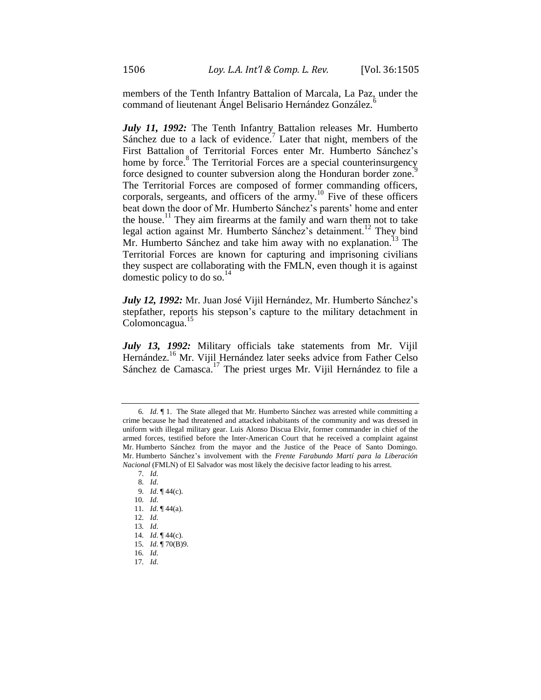members of the Tenth Infantry Battalion of Marcala, La Paz, under the command of lieutenant Ángel Belisario Hernández González.

*July 11, 1992:* The Tenth Infantry Battalion releases Mr. Humberto Sánchez due to a lack of evidence.<sup>7</sup> Later that night, members of the First Battalion of Territorial Forces enter Mr. Humberto Sánchez's home by force.<sup>8</sup> The Territorial Forces are a special counterinsurgency force designed to counter subversion along the Honduran border zone.<sup>9</sup> The Territorial Forces are composed of former commanding officers, corporals, sergeants, and officers of the army.<sup>10</sup> Five of these officers beat down the door of Mr. Humberto Sánchez's parents' home and enter the house.<sup>11</sup> They aim firearms at the family and warn them not to take legal action against Mr. Humberto Sánchez's detainment.<sup>12</sup> They bind Mr. Humberto Sánchez and take him away with no explanation.<sup>13</sup> The Territorial Forces are known for capturing and imprisoning civilians they suspect are collaborating with the FMLN, even though it is against domestic policy to do so. $^{14}$ 

*July 12, 1992:* Mr. Juan José Vijil Hernández, Mr. Humberto Sánchez's stepfather, reports his stepson's capture to the military detachment in Colomoncagua.<sup>15</sup>

*July 13, 1992:* Military officials take statements from Mr. Vijil Hernández.<sup>16</sup> Mr. Vijil Hernández later seeks advice from Father Celso Sánchez de Camasca.<sup>17</sup> The priest urges Mr. Vijil Hernández to file a

17*. Id*.

<sup>6</sup>*. Id*. ¶ 1. The State alleged that Mr. Humberto Sánchez was arrested while committing a crime because he had threatened and attacked inhabitants of the community and was dressed in uniform with illegal military gear. Luis Alonso Discua Elvir, former commander in chief of the armed forces, testified before the Inter-American Court that he received a complaint against Mr. Humberto Sánchez from the mayor and the Justice of the Peace of Santo Domingo. Mr. Humberto Sánchez's involvement with the *Frente Farabundo Martí para la Liberación Nacional* (FMLN) of El Salvador was most likely the decisive factor leading to his arrest.

<sup>7</sup>*. Id*. 8*. Id*.

<sup>9</sup>*. Id*. ¶ 44(c).

<sup>10</sup>*. Id*.

<sup>11</sup>*. Id*. ¶ 44(a).

<sup>12</sup>*. Id*.

<sup>13</sup>*. Id*.

<sup>14</sup>*. Id*. ¶ 44(c).

<sup>15</sup>*. Id*. ¶ 70(B)9.

<sup>16</sup>*. Id*.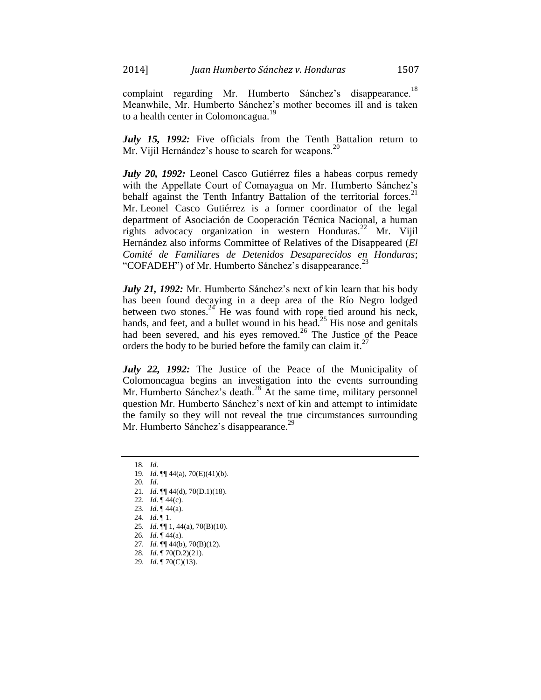complaint regarding Mr. Humberto Sánchez's disappearance.<sup>18</sup> Meanwhile, Mr. Humberto Sánchez's mother becomes ill and is taken to a health center in Colomoncagua.<sup>19</sup>

*July 15, 1992:* Five officials from the Tenth Battalion return to Mr. Vijil Hernández's house to search for weapons. $^{20}$ 

*July 20, 1992:* Leonel Casco Gutiérrez files a habeas corpus remedy with the Appellate Court of Comayagua on Mr. Humberto Sánchez's behalf against the Tenth Infantry Battalion of the territorial forces.<sup>2</sup> Mr. Leonel Casco Gutiérrez is a former coordinator of the legal department of Asociación de Cooperación Técnica Nacional, a human rights advocacy organization in western Honduras.<sup>22</sup> Mr. Vijil Hernández also informs Committee of Relatives of the Disappeared (*El Comité de Familiares de Detenidos Desaparecidos en Honduras*; "COFADEH") of Mr. Humberto Sánchez's disappearance.<sup>23</sup>

*July 21, 1992:* Mr. Humberto Sánchez's next of kin learn that his body has been found decaying in a deep area of the Río Negro lodged between two stones.<sup>24</sup> He was found with rope tied around his neck, hands, and feet, and a bullet wound in his head.<sup>25</sup> His nose and genitals had been severed, and his eyes removed.<sup>26</sup> The Justice of the Peace orders the body to be buried before the family can claim it. $<sup>2</sup>$ </sup>

*July 22, 1992:* The Justice of the Peace of the Municipality of Colomoncagua begins an investigation into the events surrounding Mr. Humberto Sánchez's death.<sup>28</sup> At the same time, military personnel question Mr. Humberto Sánchez's next of kin and attempt to intimidate the family so they will not reveal the true circumstances surrounding Mr. Humberto Sánchez's disappearance.<sup>29</sup>

- 26*. Id*. ¶ 44(a).
- 27*. Id.* ¶¶ 44(b), 70(B)(12).
- 28*. Id*. ¶ 70(D.2)(21).
- 29*. Id*. ¶ 70(C)(13).

<sup>18</sup>*. Id*. 19*. Id*. ¶¶ 44(a), 70(E)(41)(b).

<sup>20</sup>*. Id*.

<sup>21</sup>*. Id*. ¶¶ 44(d), 70(D.1)(18).

<sup>22</sup>*. Id*. ¶ 44(c).

<sup>23</sup>*. Id*. ¶ 44(a).

<sup>24</sup>*. Id*. ¶ 1.

<sup>25</sup>*. Id*. ¶¶ 1, 44(a), 70(B)(10).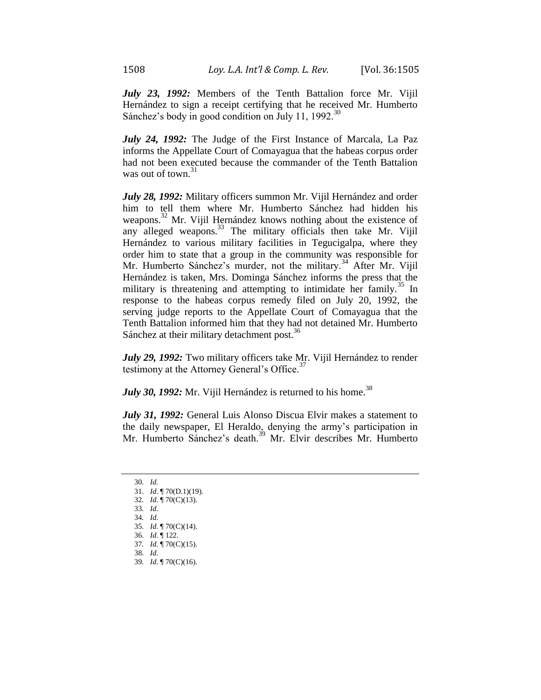*July 23, 1992:* Members of the Tenth Battalion force Mr. Vijil Hernández to sign a receipt certifying that he received Mr. Humberto Sánchez's body in good condition on July 11, 1992. $^{30}$ 

*July 24, 1992:* The Judge of the First Instance of Marcala, La Paz informs the Appellate Court of Comayagua that the habeas corpus order had not been executed because the commander of the Tenth Battalion was out of town.<sup>31</sup>

*July 28, 1992:* Military officers summon Mr. Vijil Hernández and order him to tell them where Mr. Humberto Sánchez had hidden his weapons.<sup>32</sup> Mr. Vijil Hernández knows nothing about the existence of any alleged weapons.<sup>33</sup> The military officials then take Mr. Vijil Hernández to various military facilities in Tegucigalpa, where they order him to state that a group in the community was responsible for Mr. Humberto Sánchez's murder, not the military.<sup>34</sup> After Mr. Vijil Hernández is taken, Mrs. Dominga Sánchez informs the press that the military is threatening and attempting to intimidate her family.<sup>35</sup> In response to the habeas corpus remedy filed on July 20, 1992, the serving judge reports to the Appellate Court of Comayagua that the Tenth Battalion informed him that they had not detained Mr. Humberto Sánchez at their military detachment post.<sup>36</sup>

July 29, 1992: Two military officers take Mr. Vijil Hernández to render testimony at the Attorney General's Office.<sup>37</sup>

*July 30, 1992:* Mr. Vijil Hernández is returned to his home.<sup>38</sup>

*July 31, 1992:* General Luis Alonso Discua Elvir makes a statement to the daily newspaper, El Heraldo, denying the army's participation in Mr. Humberto Sánchez's death.<sup>39</sup> Mr. Elvir describes Mr. Humberto

- 30*. Id*.
- 31*. Id*. ¶ 70(D.1)(19).
- 32*. Id*. ¶ 70(C)(13).
- 33*. Id*.
- 34*. Id*.
- 35*. Id*. ¶ 70(C)(14).
- 36*. Id*. ¶ 122.
- 37*. Id*. ¶ 70(C)(15).
- 38*. Id*. 39*. Id*. ¶ 70(C)(16).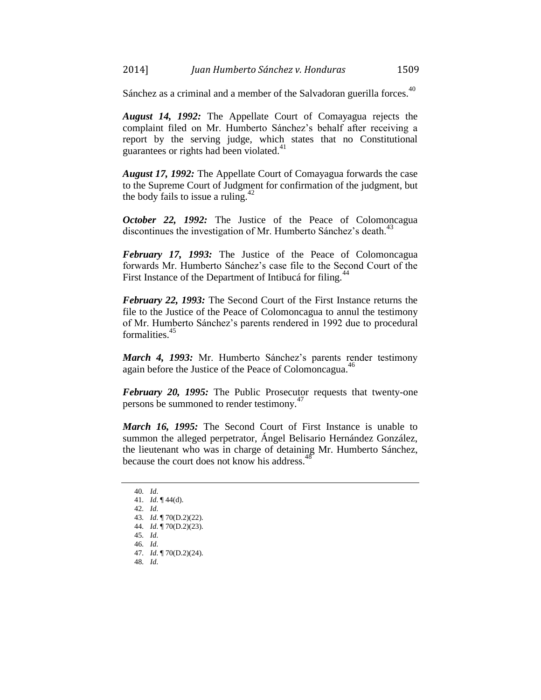Sánchez as a criminal and a member of the Salvadoran guerilla forces.<sup>40</sup>

*August 14, 1992:* The Appellate Court of Comayagua rejects the complaint filed on Mr. Humberto Sánchez's behalf after receiving a report by the serving judge, which states that no Constitutional guarantees or rights had been violated.<sup>41</sup>

*August 17, 1992:* The Appellate Court of Comayagua forwards the case to the Supreme Court of Judgment for confirmation of the judgment, but the body fails to issue a ruling. $42$ 

*October 22, 1992:* The Justice of the Peace of Colomoncagua discontinues the investigation of Mr. Humberto Sánchez's death.<sup>43</sup>

*February 17, 1993:* The Justice of the Peace of Colomoncagua forwards Mr. Humberto Sánchez's case file to the Second Court of the First Instance of the Department of Intibucá for filing.<sup>44</sup>

*February 22, 1993:* The Second Court of the First Instance returns the file to the Justice of the Peace of Colomoncagua to annul the testimony of Mr. Humberto Sánchez's parents rendered in 1992 due to procedural formalities.<sup>45</sup>

*March 4, 1993:* Mr. Humberto Sánchez's parents render testimony again before the Justice of the Peace of Colomoncagua.<sup>46</sup>

*February 20, 1995:* The Public Prosecutor requests that twenty-one persons be summoned to render testimony.<sup>47</sup>

*March 16, 1995:* The Second Court of First Instance is unable to summon the alleged perpetrator, Ángel Belisario Hernández González, the lieutenant who was in charge of detaining Mr. Humberto Sánchez, because the court does not know his address.<sup>48</sup>

<sup>40</sup>*. Id*. 41*. Id*. ¶ 44(d). 42*. Id*. 43*. Id*. ¶ 70(D.2)(22). 44*. Id*. ¶ 70(D.2)(23). 45*. Id*. 46*. Id*. 47*. Id*. ¶ 70(D.2)(24). 48*. Id*.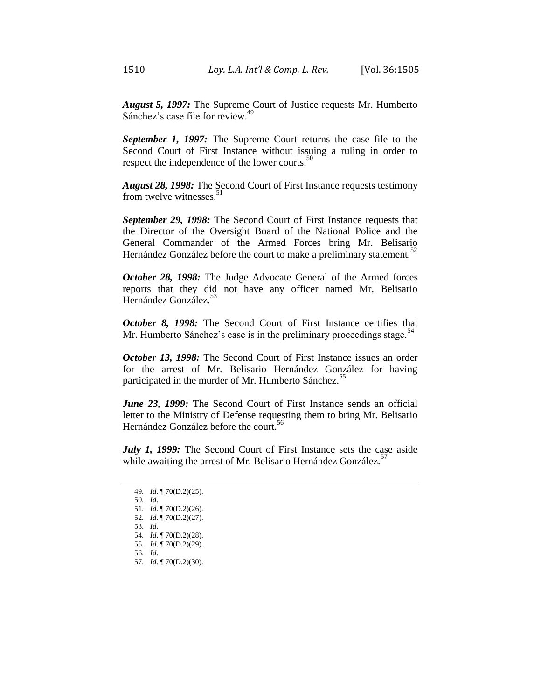*August 5, 1997:* The Supreme Court of Justice requests Mr. Humberto Sánchez's case file for review.<sup>49</sup>

*September 1, 1997:* The Supreme Court returns the case file to the Second Court of First Instance without issuing a ruling in order to respect the independence of the lower courts.<sup>50</sup>

*August 28, 1998:* The Second Court of First Instance requests testimony from twelve witnesses.<sup>5</sup>

*September 29, 1998:* The Second Court of First Instance requests that the Director of the Oversight Board of the National Police and the General Commander of the Armed Forces bring Mr. Belisario Hernández González before the court to make a preliminary statement. $52$ 

*October 28, 1998:* The Judge Advocate General of the Armed forces reports that they did not have any officer named Mr. Belisario Hernández González.<sup>53</sup>

*October 8, 1998:* The Second Court of First Instance certifies that Mr. Humberto Sánchez's case is in the preliminary proceedings stage.<sup>54</sup>

*October 13, 1998:* The Second Court of First Instance issues an order for the arrest of Mr. Belisario Hernández González for having participated in the murder of Mr. Humberto Sánchez.<sup>55</sup>

June 23, 1999: The Second Court of First Instance sends an official letter to the Ministry of Defense requesting them to bring Mr. Belisario Hernández González before the court.<sup>56</sup>

*July 1, 1999:* The Second Court of First Instance sets the case aside while awaiting the arrest of Mr. Belisario Hernández González.<sup>57</sup>

53*. Id*.

- 56*. Id*.
- 57*. Id*. ¶ 70(D.2)(30).

<sup>49</sup>*. Id*. ¶ 70(D.2)(25).

<sup>50</sup>*. Id*.

<sup>51</sup>*. Id*. ¶ 70(D.2)(26). 52*. Id*. ¶ 70(D.2)(27).

<sup>54</sup>*. Id*. ¶ 70(D.2)(28).

<sup>55</sup>*. Id*. ¶ 70(D.2)(29).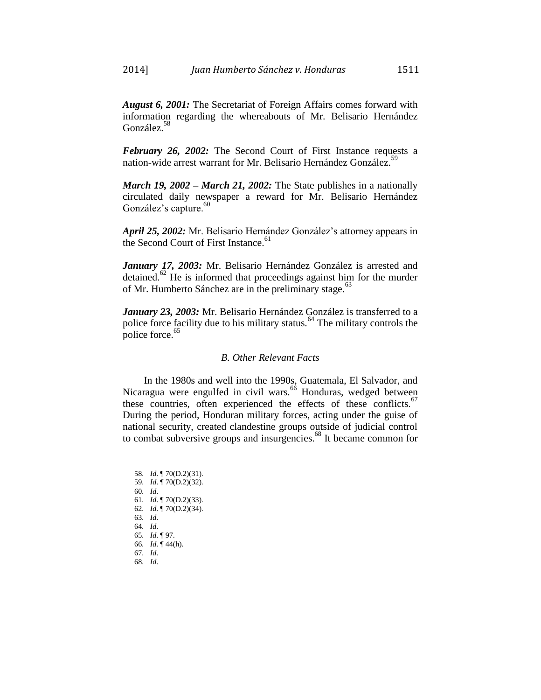*February 26, 2002:* The Second Court of First Instance requests a nation-wide arrest warrant for Mr. Belisario Hernández González.<sup>5</sup>

*March 19, 2002 – March 21, 2002:* The State publishes in a nationally circulated daily newspaper a reward for Mr. Belisario Hernández González's capture.<sup>60</sup>

*April 25, 2002:* Mr. Belisario Hernández González's attorney appears in the Second Court of First Instance.<sup>61</sup>

*January 17, 2003:* Mr. Belisario Hernández González is arrested and detained.<sup>62</sup> He is informed that proceedings against him for the murder of Mr. Humberto Sánchez are in the preliminary stage.<sup>63</sup>

*January 23, 2003:* Mr. Belisario Hernández González is transferred to a police force facility due to his military status.<sup>64</sup> The military controls the police force.<sup>65</sup>

#### *B. Other Relevant Facts*

In the 1980s and well into the 1990s, Guatemala, El Salvador, and Nicaragua were engulfed in civil wars.<sup>66</sup> Honduras, wedged between these countries, often experienced the effects of these conflicts.<sup>67</sup> During the period, Honduran military forces, acting under the guise of national security, created clandestine groups outside of judicial control to combat subversive groups and insurgencies. <sup>68</sup> It became common for

58*. Id*. ¶ 70(D.2)(31). 59*. Id*. ¶ 70(D.2)(32). 60*. Id*. 61*. Id*. ¶ 70(D.2)(33). 62*. Id*. ¶ 70(D.2)(34). 63*. Id*. 64*. Id*. 65*. Id*. ¶ 97. 66*. Id*. ¶ 44(h). 67*. Id*. 68*. Id*.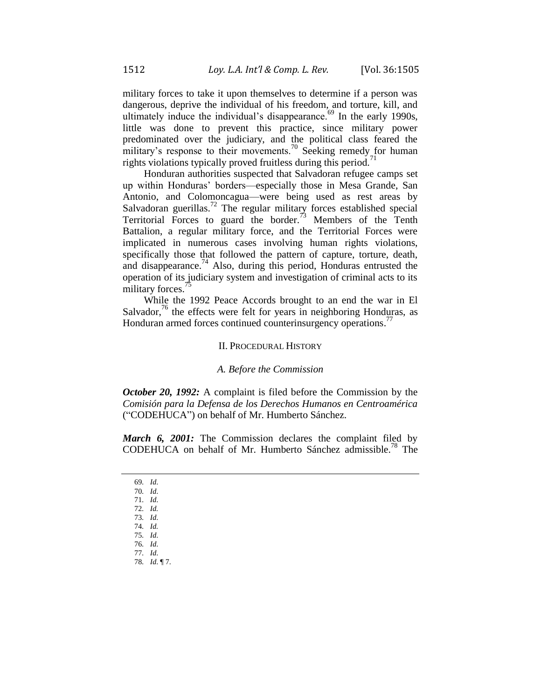military forces to take it upon themselves to determine if a person was dangerous, deprive the individual of his freedom, and torture, kill, and ultimately induce the individual's disappearance.<sup>69</sup> In the early 1990s, little was done to prevent this practice, since military power predominated over the judiciary, and the political class feared the military's response to their movements.<sup>70</sup> Seeking remedy for human rights violations typically proved fruitless during this period.<sup>71</sup>

Honduran authorities suspected that Salvadoran refugee camps set up within Honduras' borders—especially those in Mesa Grande, San Antonio, and Colomoncagua—were being used as rest areas by Salvadoran guerillas.<sup>72</sup> The regular military forces established special Territorial Forces to guard the border.<sup>73</sup> Members of the Tenth Battalion, a regular military force, and the Territorial Forces were implicated in numerous cases involving human rights violations, specifically those that followed the pattern of capture, torture, death, and disappearance.<sup>74</sup> Also, during this period, Honduras entrusted the operation of its judiciary system and investigation of criminal acts to its military forces.

While the 1992 Peace Accords brought to an end the war in El Salvador,<sup>76</sup> the effects were felt for years in neighboring Honduras, as Honduran armed forces continued counterinsurgency operations.<sup>77</sup>

#### II. PROCEDURAL HISTORY

#### *A. Before the Commission*

*October 20, 1992:* A complaint is filed before the Commission by the *Comisión para la Defensa de los Derechos Humanos en Centroamérica* ("CODEHUCA") on behalf of Mr. Humberto Sánchez.

*March 6, 2001:* The Commission declares the complaint filed by CODEHUCA on behalf of Mr. Humberto Sánchez admissible.<sup>78</sup> The

- 69*. Id*.
- 70*. Id*. 71*. Id*.
- 72*. Id.*
- 73*. Id*.
- 74*. Id.*
- 75*. Id*.
- 76*. Id*.
- 77*. Id*.
- 78*. Id*. ¶ 7.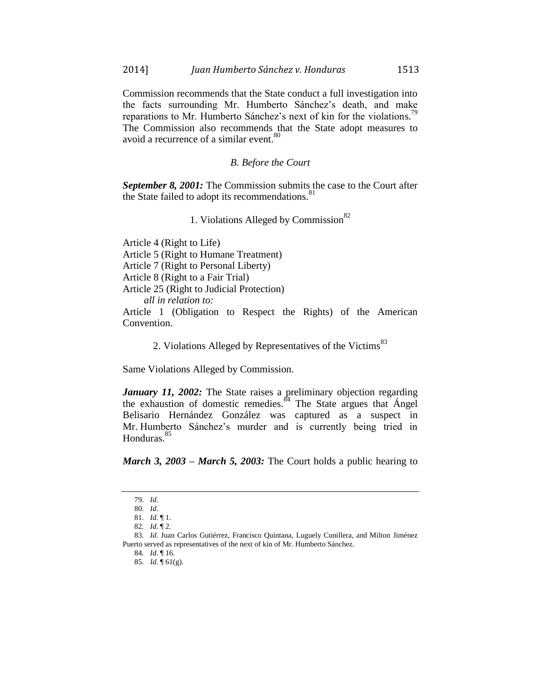Commission recommends that the State conduct a full investigation into the facts surrounding Mr. Humberto Sánchez's death, and make reparations to Mr. Humberto Sánchez's next of kin for the violations.<sup>79</sup> The Commission also recommends that the State adopt measures to avoid a recurrence of a similar event.<sup>80</sup>

#### *B. Before the Court*

*September 8, 2001:* The Commission submits the case to the Court after the State failed to adopt its recommendations.<sup>81</sup>

1. Violations Alleged by Commission $82$ 

Article 4 (Right to Life) Article 5 (Right to Humane Treatment) Article 7 (Right to Personal Liberty) Article 8 (Right to a Fair Trial) Article 25 (Right to Judicial Protection) *all in relation to:* Article 1 (Obligation to Respect the Rights) of the American

Convention.

2. Violations Alleged by Representatives of the Victims<sup>83</sup>

Same Violations Alleged by Commission.

*January 11, 2002:* The State raises a preliminary objection regarding the exhaustion of domestic remedies. $84$  The State argues that Angel Belisario Hernández González was captured as a suspect in Mr. Humberto Sánchez's murder and is currently being tried in Honduras.<sup>85</sup>

*March 3, 2003 – March 5, 2003:* The Court holds a public hearing to

<sup>79</sup>*. Id*.

<sup>80</sup>*. Id*.

<sup>81</sup>*. Id*. ¶ 1.

<sup>82</sup>*. Id*. ¶ 2.

<sup>83</sup>*. Id*. Juan Carlos Gutiérrez, Francisco Quintana, Luguely Cunillera, and Milton Jiménez Puerto served as representatives of the next of kin of Mr. Humberto Sánchez.

<sup>84</sup>*. Id*. ¶ 16.

<sup>85</sup>*. Id*. ¶ 61(g).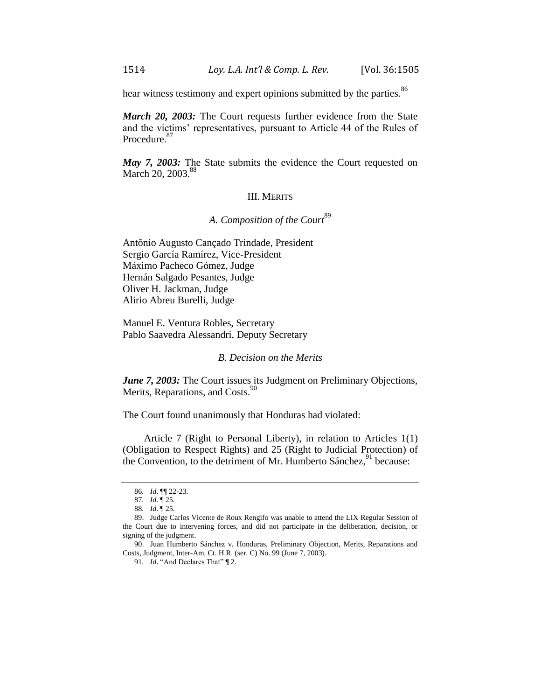hear witness testimony and expert opinions submitted by the parties.<sup>86</sup>

*March 20, 2003:* The Court requests further evidence from the State and the victims' representatives, pursuant to Article 44 of the Rules of Procedure.<sup>87</sup>

*May 7, 2003:* The State submits the evidence the Court requested on March 20, 2003.<sup>88</sup>

## III. MERITS

# A. Composition of the Court<sup>89</sup>

Antônio Augusto Cançado Trindade, President Sergio García Ramírez, Vice-President Máximo Pacheco Gómez, Judge Hernán Salgado Pesantes, Judge Oliver H. Jackman, Judge Alirio Abreu Burelli, Judge

Manuel E. Ventura Robles, Secretary Pablo Saavedra Alessandri, Deputy Secretary

#### *B. Decision on the Merits*

*June 7, 2003:* The Court issues its Judgment on Preliminary Objections, Merits, Reparations, and Costs.<sup>90</sup>

The Court found unanimously that Honduras had violated:

Article 7 (Right to Personal Liberty), in relation to Articles 1(1) (Obligation to Respect Rights) and 25 (Right to Judicial Protection) of the Convention, to the detriment of Mr. Humberto Sánchez, <sup>91</sup> because:

91*. Id*. "And Declares That" ¶ 2.

<sup>86</sup>*. Id*. ¶¶ 22-23.

<sup>87</sup>*. Id*. ¶ 25.

<sup>88</sup>*. Id*. ¶ 25.

<sup>89.</sup> Judge Carlos Vicente de Roux Rengifo was unable to attend the LIX Regular Session of the Court due to intervening forces, and did not participate in the deliberation, decision, or signing of the judgment.

<sup>90.</sup> Juan Humberto Sánchez v. Honduras, Preliminary Objection, Merits, Reparations and Costs, Judgment, Inter-Am. Ct. H.R. (ser. C) No. 99 (June 7, 2003).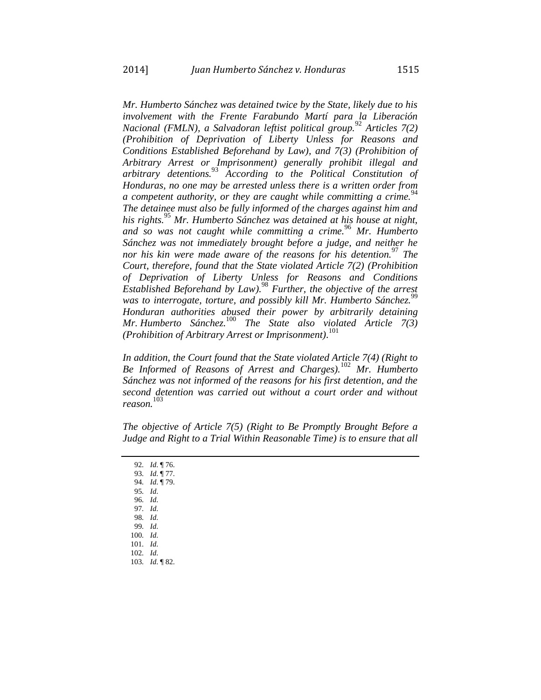*Mr. Humberto Sánchez was detained twice by the State, likely due to his involvement with the Frente Farabundo Martí para la Liberación Nacional (FMLN), a Salvadoran leftist political group.*<sup>92</sup> *Articles 7(2) (Prohibition of Deprivation of Liberty Unless for Reasons and Conditions Established Beforehand by Law), and 7(3) (Prohibition of Arbitrary Arrest or Imprisonment) generally prohibit illegal and arbitrary detentions.*<sup>93</sup> *According to the Political Constitution of Honduras, no one may be arrested unless there is a written order from a competent authority, or they are caught while committing a crime.*<sup>94</sup> *The detainee must also be fully informed of the charges against him and his rights.*<sup>95</sup> *Mr. Humberto Sánchez was detained at his house at night, and so was not caught while committing a crime.*<sup>96</sup> *Mr. Humberto Sánchez was not immediately brought before a judge, and neither he nor his kin were made aware of the reasons for his detention.*<sup>97</sup> *The Court, therefore, found that the State violated Article 7(2) (Prohibition of Deprivation of Liberty Unless for Reasons and Conditions Established Beforehand by Law).* <sup>98</sup> *Further, the objective of the arrest*  was to interrogate, torture, and possibly kill Mr. Humberto Sánchez.<sup>99</sup> *Honduran authorities abused their power by arbitrarily detaining Mr. Humberto Sánchez.*<sup>100</sup> *The State also violated Article 7(3) (Prohibition of Arbitrary Arrest or Imprisonment).* 101

*In addition, the Court found that the State violated Article 7(4) (Right to Be Informed of Reasons of Arrest and Charges).*<sup>102</sup> *Mr. Humberto Sánchez was not informed of the reasons for his first detention, and the second detention was carried out without a court order and without reason.* 103

*The objective of Article 7(5) (Right to Be Promptly Brought Before a Judge and Right to a Trial Within Reasonable Time) is to ensure that all* 

- 94*. Id*. ¶ 79.
- 95*. Id*. 96*. Id*.
- 97*. Id*.
- 98*. Id*.
- 99*. Id*.
- 100*. Id*.
- 101*. Id*.
- 102*. Id*.
- 103*. Id*. ¶ 82.

<sup>92</sup>*. Id*. ¶ 76.

<sup>93</sup>*. Id*. ¶ 77.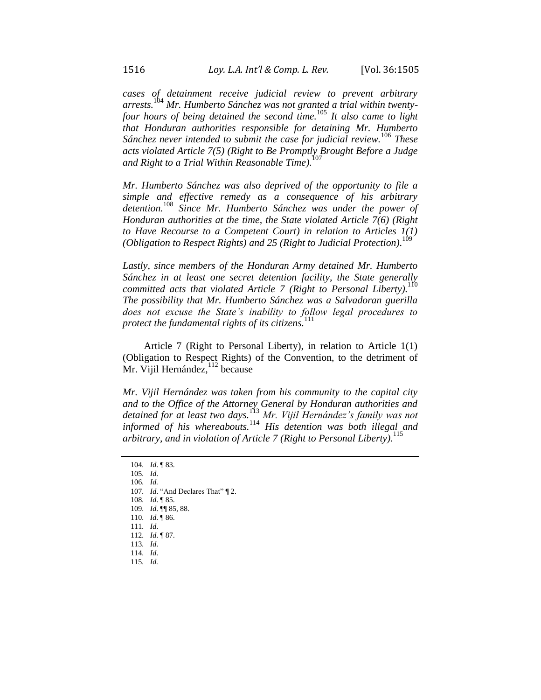*cases of detainment receive judicial review to prevent arbitrary arrests.*<sup>104</sup> *Mr. Humberto Sánchez was not granted a trial within twentyfour hours of being detained the second time.*<sup>105</sup> *It also came to light that Honduran authorities responsible for detaining Mr. Humberto Sánchez never intended to submit the case for judicial review.*<sup>106</sup> *These acts violated Article 7(5) (Right to Be Promptly Brought Before a Judge and Right to a Trial Within Reasonable Time).* 107

*Mr. Humberto Sánchez was also deprived of the opportunity to file a simple and effective remedy as a consequence of his arbitrary detention.*<sup>108</sup> *Since Mr. Humberto Sánchez was under the power of Honduran authorities at the time, the State violated Article 7(6) (Right to Have Recourse to a Competent Court) in relation to Articles 1(1) (Obligation to Respect Rights) and 25 (Right to Judicial Protection).* 109

*Lastly, since members of the Honduran Army detained Mr. Humberto Sánchez in at least one secret detention facility, the State generally committed acts that violated Article 7 (Right to Personal Liberty).* 110 *The possibility that Mr. Humberto Sánchez was a Salvadoran guerilla does not excuse the State's inability to follow legal procedures to protect the fundamental rights of its citizens.*<sup>111</sup>

Article 7 (Right to Personal Liberty), in relation to Article 1(1) (Obligation to Respect Rights) of the Convention, to the detriment of  $Mr.$  Vijil Hernández,  $12$  because

*Mr. Vijil Hernández was taken from his community to the capital city and to the Office of the Attorney General by Honduran authorities and detained for at least two days.*<sup>113</sup> *Mr. Vijil Hernández's family was not informed of his whereabouts.*<sup>114</sup> *His detention was both illegal and arbitrary, and in violation of Article 7 (Right to Personal Liberty).* 115

106*. Id.* 

107*. Id*. "And Declares That" ¶ 2.

108*. Id*. ¶ 85.

109*. Id*. ¶¶ 85, 88.

110*. Id*. ¶ 86. 111*. Id*.

112*. Id*. ¶ 87.

113*. Id*.

114*. Id*.

115*. Id.*

<sup>104</sup>*. Id*. ¶ 83.

<sup>105</sup>*. Id*.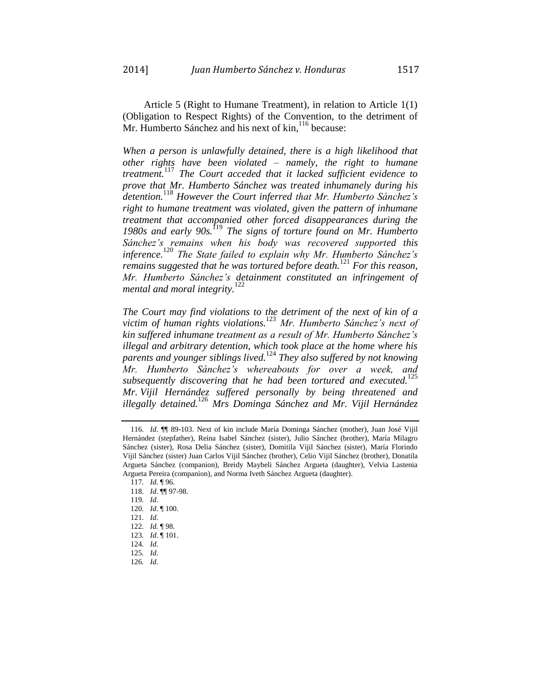Article 5 (Right to Humane Treatment), in relation to Article 1(1) (Obligation to Respect Rights) of the Convention, to the detriment of Mr. Humberto Sánchez and his next of kin,<sup>116</sup> because:

*When a person is unlawfully detained, there is a high likelihood that other rights have been violated – namely, the right to humane treatment.*<sup>117</sup> *The Court acceded that it lacked sufficient evidence to prove that Mr. Humberto Sánchez was treated inhumanely during his detention.*<sup>118</sup> *However the Court inferred that Mr. Humberto Sánchez's right to humane treatment was violated, given the pattern of inhumane treatment that accompanied other forced disappearances during the 1980s and early 90s.*<sup>119</sup> *The signs of torture found on Mr. Humberto Sánchez's remains when his body was recovered supported this inference.*<sup>120</sup> *The State failed to explain why Mr. Humberto Sánchez's remains suggested that he was tortured before death.*<sup>121</sup> *For this reason, Mr. Humberto Sánchez's detainment constituted an infringement of mental and moral integrity.*<sup>122</sup>

*The Court may find violations to the detriment of the next of kin of a victim of human rights violations.* <sup>123</sup> *Mr. Humberto Sánchez's next of kin suffered inhumane treatment as a result of Mr. Humberto Sánchez's illegal and arbitrary detention, which took place at the home where his parents and younger siblings lived.*<sup>124</sup> *They also suffered by not knowing Mr. Humberto Sánchez's whereabouts for over a week, and subsequently discovering that he had been tortured and executed.*<sup>125</sup> *Mr. Vijil Hernández suffered personally by being threatened and illegally detained.*<sup>126</sup> *Mrs Dominga Sánchez and Mr. Vijil Hernández* 

<sup>116</sup>*. Id*. ¶¶ 89-103. Next of kin include María Dominga Sánchez (mother), Juan José Vijil Hernández (stepfather), Reina Isabel Sánchez (sister), Julio Sánchez (brother), María Milagro Sánchez (sister), Rosa Delia Sánchez (sister), Domitila Vijil Sánchez (sister), María Florindo Vijil Sánchez (sister) Juan Carlos Vijil Sánchez (brother), Celio Vijil Sánchez (brother), Donatila Argueta Sánchez (companion), Breidy Maybeli Sánchez Argueta (daughter), Velvia Lastenia Argueta Pereira (companion), and Norma Iveth Sánchez Argueta (daughter).

<sup>117</sup>*. Id*. ¶ 96.

<sup>118</sup>*. Id*. ¶¶ 97-98.

<sup>119</sup>*. Id*.

<sup>120</sup>*. Id*. ¶ 100.

<sup>121</sup>*. Id*.

<sup>122</sup>*. Id.* ¶ 98.

<sup>123</sup>*. Id*. ¶ 101.

<sup>124</sup>*. Id*.

<sup>125</sup>*. Id*.

<sup>126</sup>*. Id*.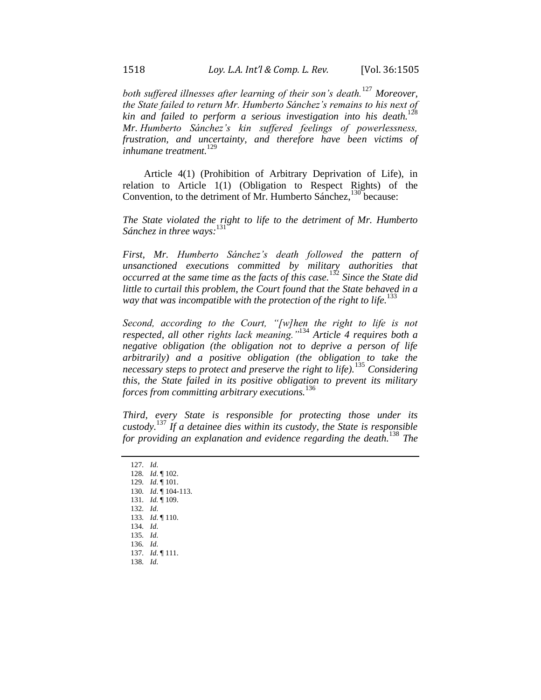*both suffered illnesses after learning of their son's death.*<sup>127</sup> *Moreover, the State failed to return Mr. Humberto Sánchez's remains to his next of kin and failed to perform a serious investigation into his death.* 128 *Mr. Humberto Sánchez's kin suffered feelings of powerlessness, frustration, and uncertainty, and therefore have been victims of inhumane treatment.*<sup>129</sup>

Article 4(1) (Prohibition of Arbitrary Deprivation of Life), in relation to Article 1(1) (Obligation to Respect Rights) of the Convention, to the detriment of Mr. Humberto Sánchez, <sup>130</sup> because:

*The State violated the right to life to the detriment of Mr. Humberto Sánchez in three ways:* 131

*First, Mr. Humberto Sánchez's death followed the pattern of unsanctioned executions committed by military authorities that occurred at the same time as the facts of this case.*<sup>132</sup> *Since the State did little to curtail this problem, the Court found that the State behaved in a*  way that was incompatible with the protection of the right to life.<sup>133</sup>

*Second, according to the Court, "[w]hen the right to life is not respected, all other rights lack meaning."*<sup>134</sup> *Article 4 requires both a negative obligation (the obligation not to deprive a person of life arbitrarily) and a positive obligation (the obligation to take the necessary steps to protect and preserve the right to life).*<sup>135</sup> *Considering this, the State failed in its positive obligation to prevent its military forces from committing arbitrary executions.*<sup>136</sup>

*Third, every State is responsible for protecting those under its custody.*<sup>137</sup> *If a detainee dies within its custody, the State is responsible for providing an explanation and evidence regarding the death.*<sup>138</sup> *The* 

129*. Id*. ¶ 101. 130*. Id*. ¶ 104-113.

- 131*. Id.* ¶ 109.
- 132*. Id*.

133*. Id*. ¶ 110.

- 134*. Id*.
- 135*. Id*.
- 136*. Id*.

137*. Id*. ¶ 111.

<sup>127</sup>*. Id*.

<sup>128</sup>*. Id*. ¶ 102.

<sup>138</sup>*. Id*.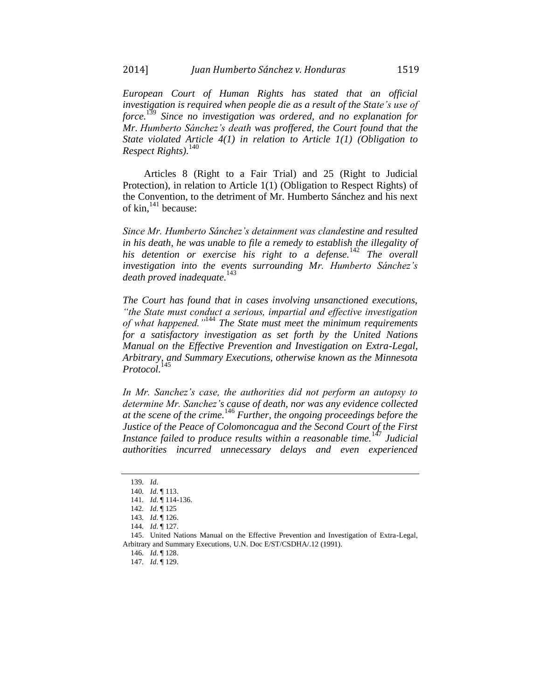*European Court of Human Rights has stated that an official investigation is required when people die as a result of the State's use of force.*<sup>139</sup> *Since no investigation was ordered, and no explanation for Mr. Humberto Sánchez's death was proffered, the Court found that the State violated Article 4(1) in relation to Article 1(1) (Obligation to Respect Rights).* 140

Articles 8 (Right to a Fair Trial) and 25 (Right to Judicial Protection), in relation to Article 1(1) (Obligation to Respect Rights) of the Convention, to the detriment of Mr. Humberto Sánchez and his next of kin,  $141$  because:

*Since Mr. Humberto Sánchez's detainment was clandestine and resulted in his death, he was unable to file a remedy to establish the illegality of his detention or exercise his right to a defense.*<sup>142</sup> *The overall investigation into the events surrounding Mr. Humberto Sánchez's death proved inadequate.*<sup>143</sup>

*The Court has found that in cases involving unsanctioned executions, "the State must conduct a serious, impartial and effective investigation of what happened."*<sup>144</sup> *The State must meet the minimum requirements for a satisfactory investigation as set forth by the United Nations Manual on the Effective Prevention and Investigation on Extra-Legal, Arbitrary, and Summary Executions, otherwise known as the Minnesota Protocol.* 145

*In Mr. Sanchez's case, the authorities did not perform an autopsy to determine Mr. Sanchez's cause of death, nor was any evidence collected at the scene of the crime.*<sup>146</sup> *Further, the ongoing proceedings before the Justice of the Peace of Colomoncagua and the Second Court of the First Instance failed to produce results within a reasonable time.*<sup>147</sup> *Judicial authorities incurred unnecessary delays and even experienced* 

<sup>139</sup>*. Id*.

<sup>140</sup>*. Id*. ¶ 113.

<sup>141</sup>*. Id*. ¶ 114-136.

<sup>142</sup>*. Id*. ¶ 125

<sup>143</sup>*. Id*. ¶ 126.

<sup>144</sup>*. Id*. ¶ 127.

<sup>145.</sup> United Nations Manual on the Effective Prevention and Investigation of Extra-Legal, Arbitrary and Summary Executions, U.N. Doc E/ST/CSDHA/.12 (1991).

<sup>146</sup>*. Id*. ¶ 128.

<sup>147</sup>*. Id*. ¶ 129.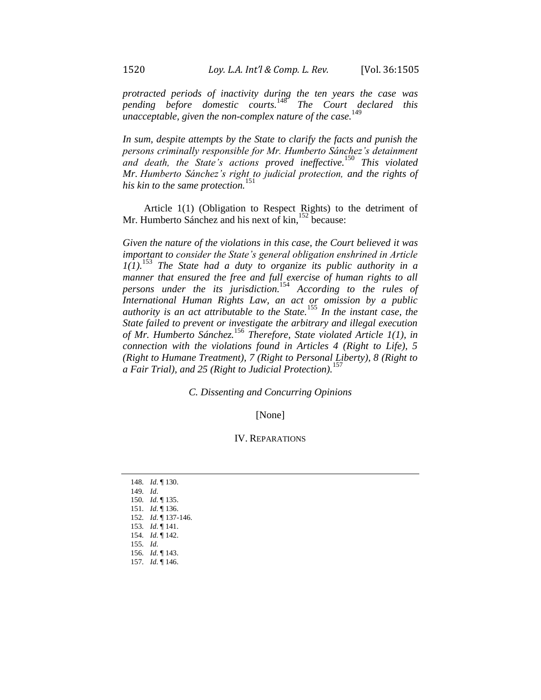*protracted periods of inactivity during the ten years the case was pending before domestic courts.*<sup>148</sup> *The Court declared this unacceptable, given the non-complex nature of the case.* 149

In sum, despite attempts by the State to clarify the facts and punish the *persons criminally responsible for Mr. Humberto Sánchez's detainment and death, the State's actions proved ineffective.*<sup>150</sup> *This violated Mr. Humberto Sánchez's right to judicial protection, and the rights of his kin to the same protection.*<sup>151</sup>

Article 1(1) (Obligation to Respect Rights) to the detriment of Mr. Humberto Sánchez and his next of kin,<sup>152</sup> because:

*Given the nature of the violations in this case, the Court believed it was important to consider the State's general obligation enshrined in Article 1(1).*<sup>153</sup> *The State had a duty to organize its public authority in a manner that ensured the free and full exercise of human rights to all persons under the its jurisdiction.*<sup>154</sup> *According to the rules of International Human Rights Law, an act or omission by a public authority is an act attributable to the State.*<sup>155</sup> *In the instant case, the State failed to prevent or investigate the arbitrary and illegal execution of Mr. Humberto Sánchez.*<sup>156</sup> *Therefore, State violated Article 1(1), in connection with the violations found in Articles 4 (Right to Life), 5 (Right to Humane Treatment), 7 (Right to Personal Liberty), 8 (Right to a Fair Trial), and 25 (Right to Judicial Protection).*<sup>157</sup>

*C. Dissenting and Concurring Opinions*

[None]

#### IV. REPARATIONS

*. Id*. ¶ 130. 149*. Id*. *. Id*. ¶ 135. *. Id*. ¶ 136. *. Id*. ¶ 137-146. *. Id*. ¶ 141. *. Id*. ¶ 142. 155*. Id*. *. Id*. ¶ 143. *. Id*. ¶ 146.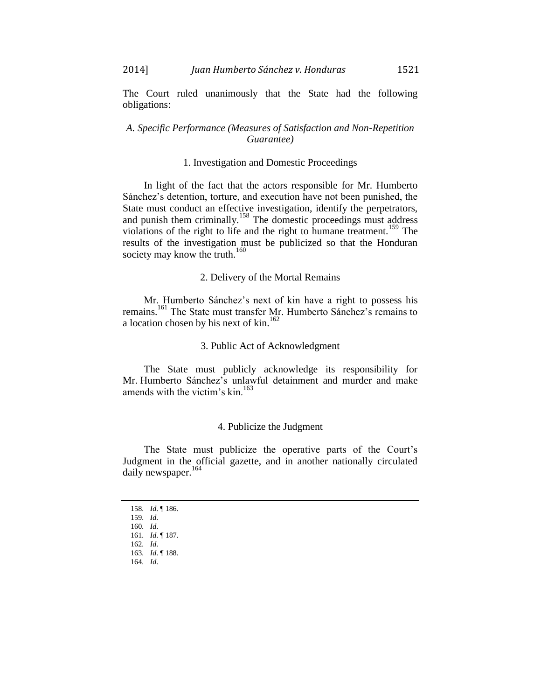The Court ruled unanimously that the State had the following obligations:

## *A. Specific Performance (Measures of Satisfaction and Non-Repetition Guarantee)*

## 1. Investigation and Domestic Proceedings

In light of the fact that the actors responsible for Mr. Humberto Sánchez's detention, torture, and execution have not been punished, the State must conduct an effective investigation, identify the perpetrators, and punish them criminally.<sup>158</sup> The domestic proceedings must address violations of the right to life and the right to humane treatment.<sup>159</sup> The results of the investigation must be publicized so that the Honduran society may know the truth.<sup>160</sup>

# 2. Delivery of the Mortal Remains

Mr. Humberto Sánchez's next of kin have a right to possess his remains.<sup>161</sup> The State must transfer Mr. Humberto Sánchez's remains to a location chosen by his next of kin.<sup>162</sup>

## 3. Public Act of Acknowledgment

The State must publicly acknowledge its responsibility for Mr. Humberto Sánchez's unlawful detainment and murder and make amends with the victim's  $\text{kin}$ <sup>163</sup>

#### 4. Publicize the Judgment

The State must publicize the operative parts of the Court's Judgment in the official gazette, and in another nationally circulated daily newspaper.<sup>164</sup>

158*. Id*. ¶ 186.

<sup>159</sup>*. Id*.

<sup>160</sup>*. Id*.

<sup>161</sup>*. Id*. ¶ 187.

<sup>162</sup>*. Id*.

<sup>163</sup>*. Id*. ¶ 188.

<sup>164</sup>*. Id*.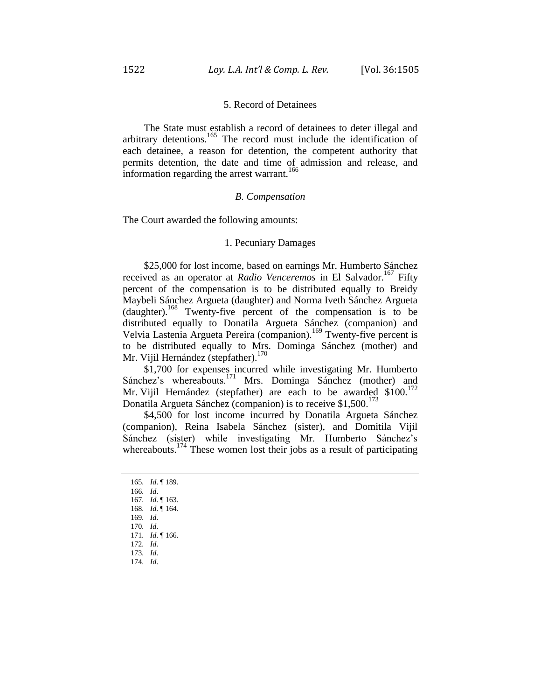#### 5. Record of Detainees

The State must establish a record of detainees to deter illegal and arbitrary detentions.<sup>165</sup> The record must include the identification of each detainee, a reason for detention, the competent authority that permits detention, the date and time of admission and release, and information regarding the arrest warrant.<sup>166</sup>

#### *B. Compensation*

The Court awarded the following amounts:

## 1. Pecuniary Damages

\$25,000 for lost income, based on earnings Mr. Humberto Sánchez received as an operator at *Radio Venceremos* in El Salvador.<sup>167</sup> Fifty percent of the compensation is to be distributed equally to Breidy Maybeli Sánchez Argueta (daughter) and Norma Iveth Sánchez Argueta (daughter).<sup>168</sup> Twenty-five percent of the compensation is to be distributed equally to Donatila Argueta Sánchez (companion) and Velvia Lastenia Argueta Pereira (companion).<sup>169</sup> Twenty-five percent is to be distributed equally to Mrs. Dominga Sánchez (mother) and Mr. Vijil Hernández (stepfather).<sup>170</sup>

\$1,700 for expenses incurred while investigating Mr. Humberto Sánchez's whereabouts.<sup>171</sup> Mrs. Dominga Sánchez (mother) and Mr. Vijil Hernández (stepfather) are each to be awarded \$100.<sup>172</sup> Donatila Argueta Sánchez (companion) is to receive \$1,500.<sup>17</sup>

\$4,500 for lost income incurred by Donatila Argueta Sánchez (companion), Reina Isabela Sánchez (sister), and Domitila Vijil Sánchez (sister) while investigating Mr. Humberto Sánchez's whereabouts.<sup>174</sup> These women lost their jobs as a result of participating

- 165*. Id*. ¶ 189.
- 166*. Id*.
- 167*. Id*. ¶ 163.
- 168*. Id*. ¶ 164. 169*. Id*.
- 170*. Id*.
- 171*. Id*. ¶ 166.
- 172*. Id*.
- 173*. Id*.
- 174*. Id*.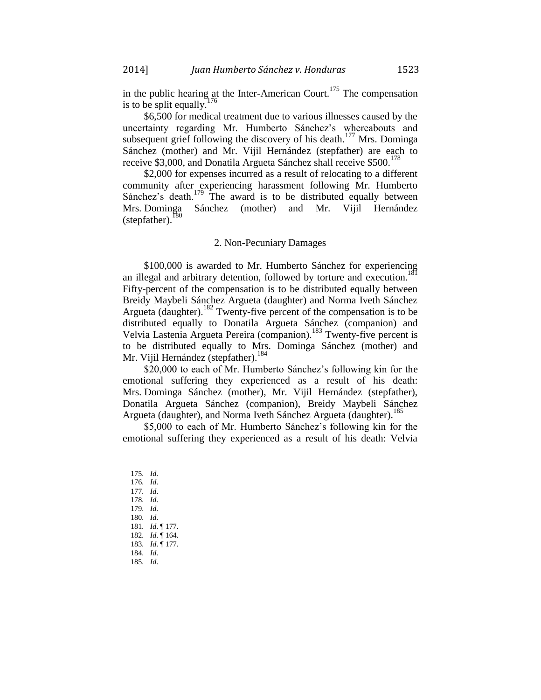in the public hearing at the Inter-American Court.<sup>175</sup> The compensation is to be split equally.

\$6,500 for medical treatment due to various illnesses caused by the uncertainty regarding Mr. Humberto Sánchez's whereabouts and subsequent grief following the discovery of his death.<sup>177</sup> Mrs. Dominga Sánchez (mother) and Mr. Vijil Hernández (stepfather) are each to receive \$3,000, and Donatila Argueta Sánchez shall receive \$500.<sup>178</sup>

\$2,000 for expenses incurred as a result of relocating to a different community after experiencing harassment following Mr. Humberto Sánchez's death.<sup>179</sup> The award is to be distributed equally between Mrs. Dominga Sánchez (mother) and Mr. Vijil Hernández (stepfather).<sup>180</sup>

## 2. Non-Pecuniary Damages

\$100,000 is awarded to Mr. Humberto Sánchez for experiencing an illegal and arbitrary detention, followed by torture and execution.<sup>1</sup> Fifty-percent of the compensation is to be distributed equally between Breidy Maybeli Sánchez Argueta (daughter) and Norma Iveth Sánchez Argueta (daughter).<sup>182</sup> Twenty-five percent of the compensation is to be distributed equally to Donatila Argueta Sánchez (companion) and Velvia Lastenia Argueta Pereira (companion).<sup>183</sup> Twenty-five percent is to be distributed equally to Mrs. Dominga Sánchez (mother) and Mr. Vijil Hernández (stepfather).<sup>184</sup>

\$20,000 to each of Mr. Humberto Sánchez's following kin for the emotional suffering they experienced as a result of his death: Mrs. Dominga Sánchez (mother), Mr. Vijil Hernández (stepfather), Donatila Argueta Sánchez (companion), Breidy Maybeli Sánchez Argueta (daughter), and Norma Iveth Sánchez Argueta (daughter).<sup>185</sup>

\$5,000 to each of Mr. Humberto Sánchez's following kin for the emotional suffering they experienced as a result of his death: Velvia

<sup>175</sup>*. Id*. 176*. Id*. 177*. Id*. 178*. Id*. 179*. Id*. 180*. Id*. 181*. Id*. ¶ 177.

<sup>182</sup>*. Id*. ¶ 164.

<sup>183</sup>*. Id*. ¶ 177.

<sup>184</sup>*. Id*.

<sup>185</sup>*. Id*.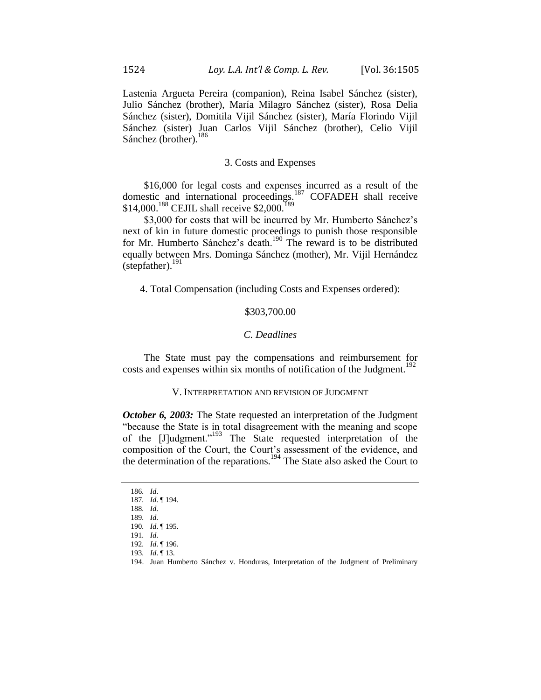Lastenia Argueta Pereira (companion), Reina Isabel Sánchez (sister), Julio Sánchez (brother), María Milagro Sánchez (sister), Rosa Delia Sánchez (sister), Domitila Vijil Sánchez (sister), María Florindo Vijil Sánchez (sister) Juan Carlos Vijil Sánchez (brother), Celio Vijil Sánchez (brother).<sup>186</sup>

### 3. Costs and Expenses

\$16,000 for legal costs and expenses incurred as a result of the domestic and international proceedings.<sup>187</sup> COFADEH shall receive  $$14,000$ .<sup>188</sup> CEJIL shall receive \$2,000.<sup>189</sup>

\$3,000 for costs that will be incurred by Mr. Humberto Sánchez's next of kin in future domestic proceedings to punish those responsible for Mr. Humberto Sánchez's death.<sup>190</sup> The reward is to be distributed equally between Mrs. Dominga Sánchez (mother), Mr. Vijil Hernández (stepfather). $^{191}$ 

4. Total Compensation (including Costs and Expenses ordered):

## \$303,700.00

## *C. Deadlines*

The State must pay the compensations and reimbursement for costs and expenses within six months of notification of the Judgment.<sup>192</sup>

#### V. INTERPRETATION AND REVISION OF JUDGMENT

*October 6, 2003:* The State requested an interpretation of the Judgment "because the State is in total disagreement with the meaning and scope of the [J]udgment."<sup>193</sup> The State requested interpretation of the composition of the Court, the Court's assessment of the evidence, and the determination of the reparations.<sup>194</sup> The State also asked the Court to

<sup>186</sup>*. Id*.

<sup>187</sup>*. Id*. ¶ 194.

<sup>188</sup>*. Id*. 189*. Id*.

<sup>190</sup>*. Id*. ¶ 195.

<sup>191</sup>*. Id*.

<sup>192</sup>*. Id*. ¶ 196.

<sup>193</sup>*. Id*. ¶ 13.

<sup>194.</sup> Juan Humberto Sánchez v. Honduras, Interpretation of the Judgment of Preliminary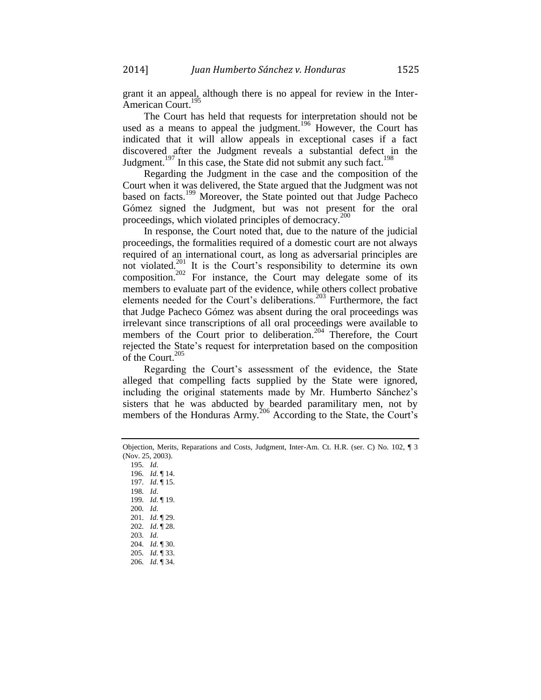2014] *Juan Humberto Sánchez v. Honduras* 1525

grant it an appeal, although there is no appeal for review in the Inter-American Court.<sup>1</sup>

The Court has held that requests for interpretation should not be used as a means to appeal the judgment.<sup>196</sup> However, the Court has indicated that it will allow appeals in exceptional cases if a fact discovered after the Judgment reveals a substantial defect in the Judgment.<sup>197</sup> In this case, the State did not submit any such fact.<sup>198</sup>

Regarding the Judgment in the case and the composition of the Court when it was delivered, the State argued that the Judgment was not based on facts.<sup>199</sup> Moreover, the State pointed out that Judge Pacheco Gómez signed the Judgment, but was not present for the oral proceedings, which violated principles of democracy.<sup>200</sup>

In response, the Court noted that, due to the nature of the judicial proceedings, the formalities required of a domestic court are not always required of an international court, as long as adversarial principles are not violated.<sup>201</sup> It is the Court's responsibility to determine its own composition.<sup>202</sup> For instance, the Court may delegate some of its members to evaluate part of the evidence, while others collect probative elements needed for the Court's deliberations.<sup>203</sup> Furthermore, the fact that Judge Pacheco Gómez was absent during the oral proceedings was irrelevant since transcriptions of all oral proceedings were available to members of the Court prior to deliberation.<sup>204</sup> Therefore, the Court rejected the State's request for interpretation based on the composition of the Court.<sup>205</sup>

Regarding the Court's assessment of the evidence, the State alleged that compelling facts supplied by the State were ignored, including the original statements made by Mr. Humberto Sánchez's sisters that he was abducted by bearded paramilitary men, not by members of the Honduras Army.<sup>206</sup> According to the State, the Court's

195*. Id*. *. Id*. ¶ 14. *. Id*. ¶ 15. 198*. Id*. *. Id*. ¶ 19. 200*. Id*. *. Id*. ¶ 29. *. Id*. ¶ 28. 203*. Id*. *. Id*. ¶ 30. *. Id*. ¶ 33. *. Id*. ¶ 34.

Objection, Merits, Reparations and Costs, Judgment, Inter-Am. Ct. H.R. (ser. C) No. 102, ¶ 3 (Nov. 25, 2003).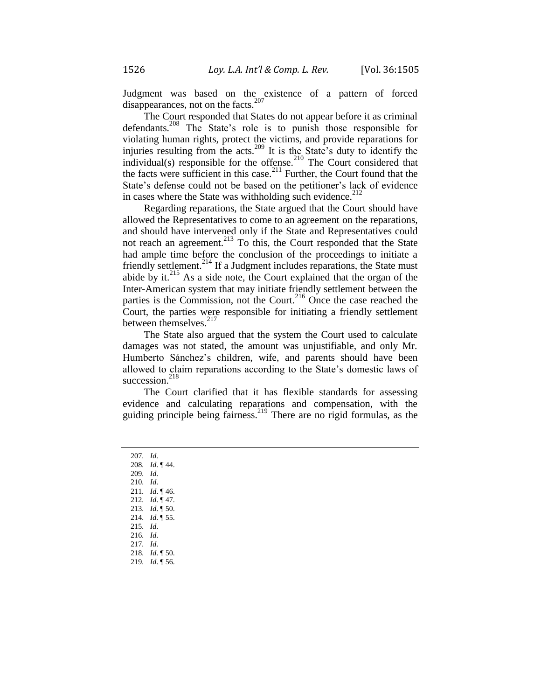Judgment was based on the existence of a pattern of forced<br>disamprograms at an the forte  $207$ disappearances, not on the facts.<sup>2</sup>

The Court responded that States do not appear before it as criminal defendants.<sup>208</sup> The State's role is to punish those responsible for violating human rights, protect the victims, and provide reparations for injuries resulting from the acts.<sup>209</sup> It is the State's duty to identify the individual(s) responsible for the offense.<sup>210</sup> The Court considered that the facts were sufficient in this case.<sup>211</sup> Further, the Court found that the State's defense could not be based on the petitioner's lack of evidence in cases where the State was withholding such evidence.<sup>212</sup>

Regarding reparations, the State argued that the Court should have allowed the Representatives to come to an agreement on the reparations, and should have intervened only if the State and Representatives could not reach an agreement.<sup>213</sup> To this, the Court responded that the State had ample time before the conclusion of the proceedings to initiate a friendly settlement.<sup>214</sup> If a Judgment includes reparations, the State must abide by it. $^{215}$  As a side note, the Court explained that the organ of the Inter-American system that may initiate friendly settlement between the parties is the Commission, not the Court.<sup>216</sup> Once the case reached the Court, the parties were responsible for initiating a friendly settlement between themselves.<sup>217</sup>

The State also argued that the system the Court used to calculate damages was not stated, the amount was unjustifiable, and only Mr. Humberto Sánchez's children, wife, and parents should have been allowed to claim reparations according to the State's domestic laws of succession. $218$ 

The Court clarified that it has flexible standards for assessing evidence and calculating reparations and compensation, with the guiding principle being fairness.<sup>219</sup> There are no rigid formulas, as the

207*. Id*. 208*. Id*. ¶ 44. 209*. Id*. 210*. Id*. 211*. Id*. ¶ 46. 212*. Id*. ¶ 47. 213*. Id*. ¶ 50. 214*. Id*. ¶ 55. 215*. Id*. 216*. Id*. 217*. Id*. 218*. Id*. ¶ 50. 219*. Id*. ¶ 56.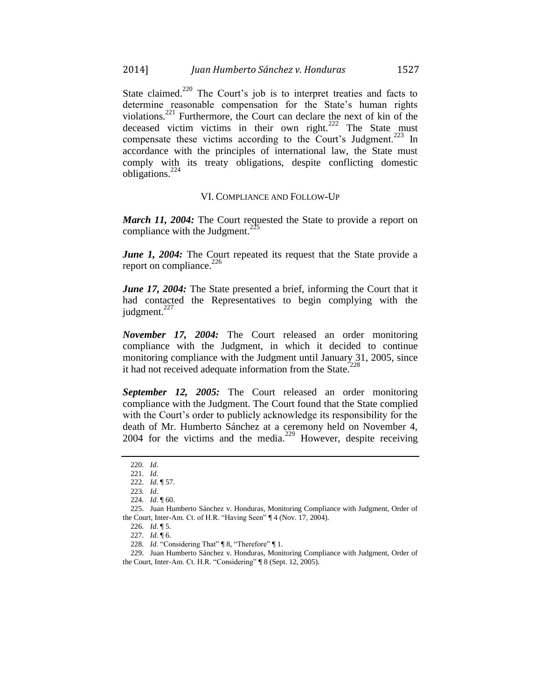State claimed.<sup>220</sup> The Court's job is to interpret treaties and facts to determine reasonable compensation for the State's human rights violations.<sup>221</sup> Furthermore, the Court can declare the next of kin of the deceased victim victims in their own right. $222$  The State must compensate these victims according to the Court's Judgment.<sup>223</sup> In accordance with the principles of international law, the State must comply with its treaty obligations, despite conflicting domestic obligations.<sup>224</sup>

#### VI. COMPLIANCE AND FOLLOW-UP

*March 11, 2004:* The Court requested the State to provide a report on compliance with the Judgment.<sup>22</sup>

*June 1, 2004:* The Court repeated its request that the State provide a report on compliance. $^{226}$ 

*June 17, 2004:* The State presented a brief, informing the Court that it had contacted the Representatives to begin complying with the judgment.<sup>227</sup>

*November 17, 2004:* The Court released an order monitoring compliance with the Judgment, in which it decided to continue monitoring compliance with the Judgment until January 31, 2005, since it had not received adequate information from the State.<sup>2</sup>

*September 12, 2005:* The Court released an order monitoring compliance with the Judgment. The Court found that the State complied with the Court's order to publicly acknowledge its responsibility for the death of Mr. Humberto Sánchez at a ceremony held on November 4, 2004 for the victims and the media. $229$  However, despite receiving

<sup>220</sup>*. Id*.

<sup>221</sup>*. Id*.

<sup>222</sup>*. Id*. ¶ 57.

<sup>223</sup>*. Id*. 224*. Id*. ¶ 60.

<sup>225.</sup> Juan Humberto Sánchez v. Honduras, Monitoring Compliance with Judgment, Order of the Court, Inter-Am. Ct. of H.R. "Having Seen" ¶ 4 (Nov. 17, 2004).

<sup>226</sup>*. Id*. ¶ 5.

<sup>227</sup>*. Id*. ¶ 6.

<sup>228</sup>*. Id*. "Considering That" ¶ 8, "Therefore" ¶ 1.

<sup>229.</sup> Juan Humberto Sánchez v. Honduras, Monitoring Compliance with Judgment, Order of the Court, Inter-Am. Ct. H.R. "Considering" ¶ 8 (Sept. 12, 2005).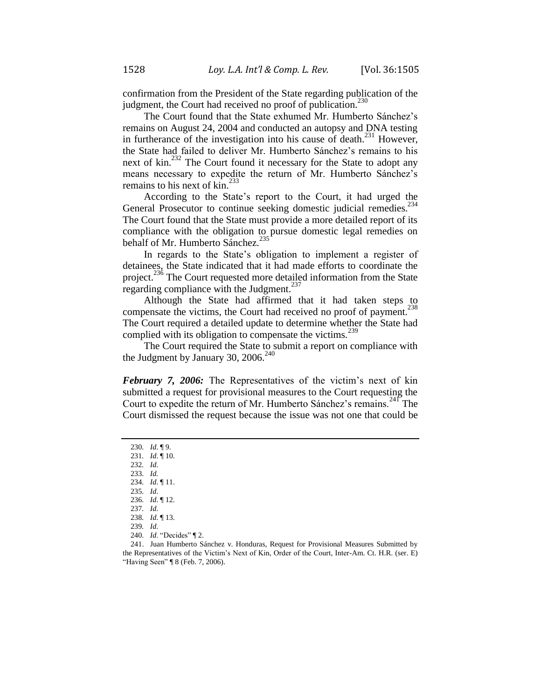confirmation from the President of the State regarding publication of the judgment, the Court had received no proof of publication.  $230$ 

The Court found that the State exhumed Mr. Humberto Sánchez's remains on August 24, 2004 and conducted an autopsy and DNA testing in furtherance of the investigation into his cause of death.<sup>231</sup> However, the State had failed to deliver Mr. Humberto Sánchez's remains to his next of kin.<sup>232</sup> The Court found it necessary for the State to adopt any means necessary to expedite the return of Mr. Humberto Sánchez's remains to his next of  $\text{kin.}^{233}$ 

According to the State's report to the Court, it had urged the General Prosecutor to continue seeking domestic judicial remedies.<sup>254</sup> The Court found that the State must provide a more detailed report of its compliance with the obligation to pursue domestic legal remedies on behalf of Mr. Humberto Sánchez.<sup>2</sup>

In regards to the State's obligation to implement a register of detainees, the State indicated that it had made efforts to coordinate the project.<sup>236</sup> The Court requested more detailed information from the State regarding compliance with the Judgment.<sup>237</sup>

Although the State had affirmed that it had taken steps to compensate the victims, the Court had received no proof of payment.<sup>238</sup> The Court required a detailed update to determine whether the State had complied with its obligation to compensate the victims.<sup>239</sup>

The Court required the State to submit a report on compliance with the Judgment by January 30, 2006. $^{240}$ 

*February 7, 2006:* The Representatives of the victim's next of kin submitted a request for provisional measures to the Court requesting the Court to expedite the return of Mr. Humberto Sánchez's remains.<sup>241</sup> The Court dismissed the request because the issue was not one that could be

<sup>230</sup>*. Id*. ¶ 9.

<sup>231</sup>*. Id*. ¶ 10.

<sup>232</sup>*. Id*.

<sup>233</sup>*. Id.* 234*. Id*. ¶ 11.

<sup>235</sup>*. Id*.

<sup>236</sup>*. Id*. ¶ 12.

<sup>237</sup>*. Id*.

<sup>238</sup>*. Id*. ¶ 13.

<sup>239</sup>*. Id*.

<sup>240</sup>*. Id*. "Decides" ¶ 2.

<sup>241.</sup> Juan Humberto Sánchez v. Honduras, Request for Provisional Measures Submitted by the Representatives of the Victim's Next of Kin, Order of the Court, Inter-Am. Ct. H.R. (ser. E) "Having Seen" ¶ 8 (Feb. 7, 2006).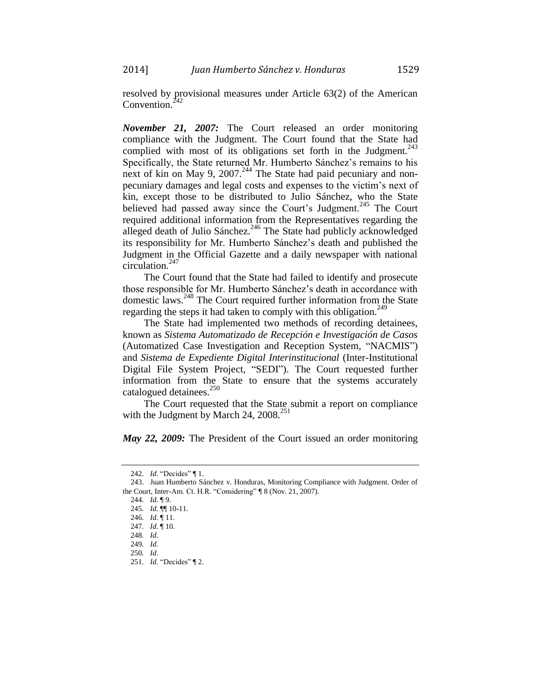resolved by provisional measures under Article 63(2) of the American Convention. $\frac{2}{3}$ 

*November 21, 2007:* The Court released an order monitoring compliance with the Judgment. The Court found that the State had complied with most of its obligations set forth in the Judgment.<sup>243</sup> Specifically, the State returned Mr. Humberto Sánchez's remains to his next of kin on May 9, 2007.<sup>244</sup> The State had paid pecuniary and nonpecuniary damages and legal costs and expenses to the victim's next of kin, except those to be distributed to Julio Sánchez, who the State believed had passed away since the Court's Judgment.<sup>245</sup> The Court required additional information from the Representatives regarding the alleged death of Julio Sánchez.<sup>246</sup> The State had publicly acknowledged its responsibility for Mr. Humberto Sánchez's death and published the Judgment in the Official Gazette and a daily newspaper with national circulation. $247$ 

The Court found that the State had failed to identify and prosecute those responsible for Mr. Humberto Sánchez's death in accordance with domestic laws.<sup>248</sup> The Court required further information from the State regarding the steps it had taken to comply with this obligation.<sup>249</sup>

The State had implemented two methods of recording detainees, known as *Sistema Automatizado de Recepción e Investigación de Casos* (Automatized Case Investigation and Reception System, "NACMIS") and *Sistema de Expediente Digital Interinstitucional* (Inter-Institutional Digital File System Project, "SEDI"). The Court requested further information from the State to ensure that the systems accurately catalogued detainees.<sup>250</sup>

The Court requested that the State submit a report on compliance with the Judgment by March 24,  $2008.<sup>251</sup>$ 

*May 22, 2009:* The President of the Court issued an order monitoring

<sup>242</sup>*. Id*. "Decides" ¶ 1.

<sup>243.</sup> Juan Humberto Sánchez v. Honduras, Monitoring Compliance with Judgment. Order of the Court, Inter-Am. Ct. H.R. "Considering" ¶ 8 (Nov. 21, 2007).

<sup>244</sup>*. Id*. ¶ 9.

<sup>245</sup>*. Id.* ¶¶ 10-11.

<sup>246</sup>*. Id*. ¶ 11.

<sup>247</sup>*. Id*. ¶ 10.

<sup>248</sup>*. Id*.

<sup>249</sup>*. Id*.

<sup>250</sup>*. Id*.

<sup>251</sup>*. Id*. "Decides" ¶ 2.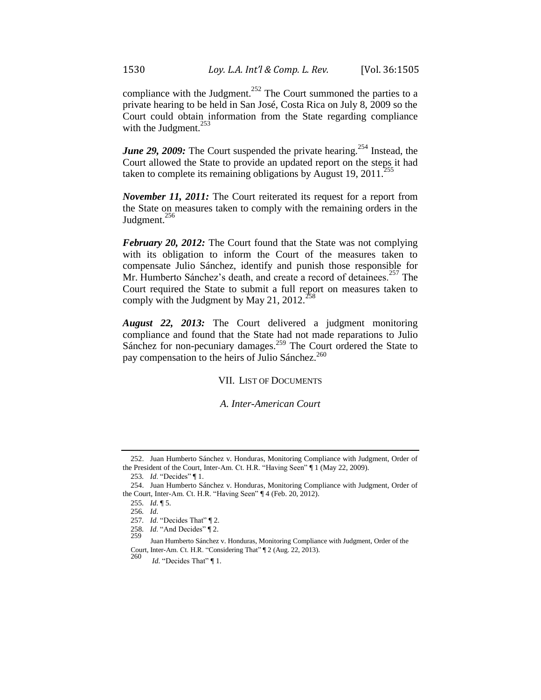compliance with the Judgment.<sup>252</sup> The Court summoned the parties to a private hearing to be held in San José, Costa Rica on July 8, 2009 so the Court could obtain information from the State regarding compliance with the Judgment. $^{253}$ 

*June 29, 2009:* The Court suspended the private hearing.<sup>254</sup> Instead, the Court allowed the State to provide an updated report on the steps it had taken to complete its remaining obligations by August 19, 2011.<sup>2</sup>

*November 11, 2011:* The Court reiterated its request for a report from the State on measures taken to comply with the remaining orders in the Judgment.<sup>256</sup>

*February 20, 2012:* The Court found that the State was not complying with its obligation to inform the Court of the measures taken to compensate Julio Sánchez, identify and punish those responsible for Mr. Humberto Sánchez's death, and create a record of detainees.<sup>257</sup> The Court required the State to submit a full report on measures taken to comply with the Judgment by May 21, 2012.<sup>25</sup>

*August 22, 2013:* The Court delivered a judgment monitoring compliance and found that the State had not made reparations to Julio Sánchez for non-pecuniary damages.<sup>259</sup> The Court ordered the State to pay compensation to the heirs of Julio Sánchez.<sup>260</sup>

VII. LIST OF DOCUMENTS

*A. Inter-American Court*

<sup>252.</sup> Juan Humberto Sánchez v. Honduras, Monitoring Compliance with Judgment, Order of the President of the Court, Inter-Am. Ct. H.R. "Having Seen" ¶ 1 (May 22, 2009).

<sup>253</sup>*. Id*. "Decides" ¶ 1.

<sup>254.</sup> Juan Humberto Sánchez v. Honduras, Monitoring Compliance with Judgment, Order of the Court, Inter-Am. Ct. H.R. "Having Seen" ¶ 4 (Feb. 20, 2012).

<sup>255</sup>*. Id*. ¶ 5.

<sup>256</sup>*. Id*.

<sup>257</sup>*. Id*. "Decides That" ¶ 2.

<sup>258.</sup> *Id.* "And Decides" | 2.<br>259

Juan Humberto Sánchez v. Honduras, Monitoring Compliance with Judgment, Order of the Court, Inter-Am. Ct. H.R. "Considering That" ¶ 2 (Aug. 22, 2013).

<sup>260</sup> *Id.* "Decides That" [1.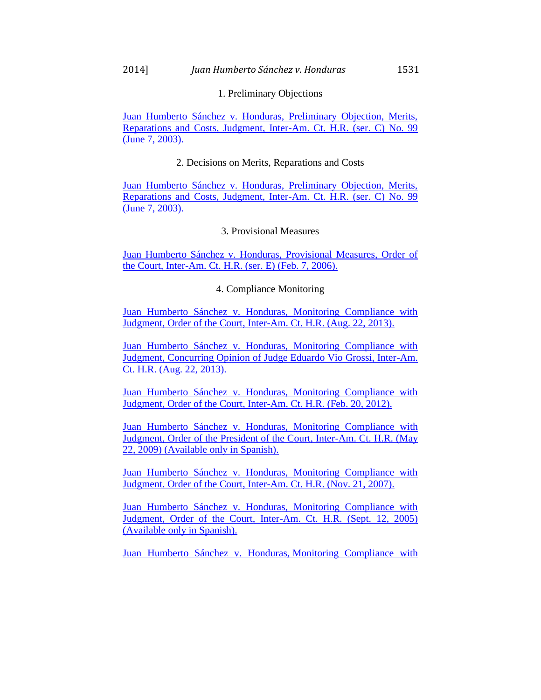## 1. Preliminary Objections

[Juan Humberto Sánchez v. Honduras, Preliminary Objection, Merits,](https://iachr.lls.edu/sites/iachr.lls.edu/files/iachr/Court_and_Commission_Documents/Juan%20Humberto%20S%2B%C3%ADnchez%20v.%20Honduras.Merits.06.07.03.pdf)  [Reparations and Costs, Judgment, Inter-Am. Ct. H.R. \(ser. C\) No. 99](https://iachr.lls.edu/sites/iachr.lls.edu/files/iachr/Court_and_Commission_Documents/Juan%20Humberto%20S%2B%C3%ADnchez%20v.%20Honduras.Merits.06.07.03.pdf)  [\(June 7, 2003\).](https://iachr.lls.edu/sites/iachr.lls.edu/files/iachr/Court_and_Commission_Documents/Juan%20Humberto%20S%2B%C3%ADnchez%20v.%20Honduras.Merits.06.07.03.pdf)

## 2. Decisions on Merits, Reparations and Costs

[Juan Humberto Sánchez v. Honduras, Preliminary Objection, Merits,](https://iachr.lls.edu/sites/iachr.lls.edu/files/iachr/Court_and_Commission_Documents/Juan%20Humberto%20S%2B%C3%ADnchez%20v.%20Honduras.Merits.06.07.03.pdf)  [Reparations and Costs, Judgment, Inter-Am. Ct. H.R. \(ser. C\) No. 99](https://iachr.lls.edu/sites/iachr.lls.edu/files/iachr/Court_and_Commission_Documents/Juan%20Humberto%20S%2B%C3%ADnchez%20v.%20Honduras.Merits.06.07.03.pdf)  [\(June 7, 2003\).](https://iachr.lls.edu/sites/iachr.lls.edu/files/iachr/Court_and_Commission_Documents/Juan%20Humberto%20S%2B%C3%ADnchez%20v.%20Honduras.Merits.06.07.03.pdf)

## 3. Provisional Measures

[Juan Humberto Sánchez v. Honduras, Provisional Measures, Order of](https://iachr.lls.edu/sites/iachr.lls.edu/files/iachr/Court_and_Commission_Documents/Juan%20Humberto%20S%2B%C3%ADnchez%20v.%20Honduras.ProvisionalMeasures.02.07.06.pdf)  [the Court, Inter-Am. Ct. H.R. \(ser. E\) \(Feb. 7, 2006\).](https://iachr.lls.edu/sites/iachr.lls.edu/files/iachr/Court_and_Commission_Documents/Juan%20Humberto%20S%2B%C3%ADnchez%20v.%20Honduras.ProvisionalMeasures.02.07.06.pdf)

## 4. Compliance Monitoring

[Juan Humberto Sánchez v. Honduras, Monitoring Compliance with](https://iachr.lls.edu/sites/iachr.lls.edu/files/iachr/Court_and_Commission_Documents/Juan%20Humberto%20S%2B%C3%ADnchez%20v.%20Honduras.MonitoringCompliance.08.22.13.pdf)  [Judgment, Order of the Court, Inter-Am. Ct. H.R. \(Aug. 22, 2013\).](https://iachr.lls.edu/sites/iachr.lls.edu/files/iachr/Court_and_Commission_Documents/Juan%20Humberto%20S%2B%C3%ADnchez%20v.%20Honduras.MonitoringCompliance.08.22.13.pdf) 

[Juan Humberto Sánchez v. Honduras, Monitoring Compliance with](https://iachr.lls.edu/sites/iachr.lls.edu/files/iachr/Court_and_Commission_Documents/Juan%20Humberto%20S%2B%C3%ADnchez%20v.%20Honduras.MonitoringCompliance.08.22.13.pdf)  [Judgment, Concurring Opinion of Judge Eduardo Vio Grossi, Inter-Am.](https://iachr.lls.edu/sites/iachr.lls.edu/files/iachr/Court_and_Commission_Documents/Juan%20Humberto%20S%2B%C3%ADnchez%20v.%20Honduras.MonitoringCompliance.08.22.13.pdf)  [Ct. H.R. \(Aug. 22, 2013\).](https://iachr.lls.edu/sites/iachr.lls.edu/files/iachr/Court_and_Commission_Documents/Juan%20Humberto%20S%2B%C3%ADnchez%20v.%20Honduras.MonitoringCompliance.08.22.13.pdf) 

[Juan Humberto Sánchez v. Honduras, Monitoring Compliance with](https://iachr.lls.edu/sites/iachr.lls.edu/files/iachr/Court_and_Commission_Documents/Juan%20Humberto%20S%2B%C3%ADnchez%20v.%20Honduras.MonitoringCompliance.02.20.12.pdf)  [Judgment, Order of the Court, Inter-Am. Ct. H.R. \(Feb. 20, 2012\).](https://iachr.lls.edu/sites/iachr.lls.edu/files/iachr/Court_and_Commission_Documents/Juan%20Humberto%20S%2B%C3%ADnchez%20v.%20Honduras.MonitoringCompliance.02.20.12.pdf)

[Juan Humberto Sánchez v. Honduras, Monitoring Compliance with](https://iachr.lls.edu/sites/iachr.lls.edu/files/iachr/Court_and_Commission_Documents/Juan%20Humberto%20S%2B%C3%ADnchez%20v.%20Honduras.PresidentResolution.05.22.09.S.pdf)  [Judgment, Order of the President of the Court, Inter-Am. Ct. H.R. \(May](https://iachr.lls.edu/sites/iachr.lls.edu/files/iachr/Court_and_Commission_Documents/Juan%20Humberto%20S%2B%C3%ADnchez%20v.%20Honduras.PresidentResolution.05.22.09.S.pdf)  [22, 2009\) \(Available only in Spanish\).](https://iachr.lls.edu/sites/iachr.lls.edu/files/iachr/Court_and_Commission_Documents/Juan%20Humberto%20S%2B%C3%ADnchez%20v.%20Honduras.PresidentResolution.05.22.09.S.pdf)

[Juan Humberto Sánchez v. Honduras, Monitoring Compliance with](https://iachr.lls.edu/sites/iachr.lls.edu/files/iachr/Court_and_Commission_Documents/Juan%20Humberto%20S%2B%C3%ADnchez%20v.%20Honduras.MonitoringCompliance.11.21.07.pdf)  [Judgment. Order of the Court, Inter-Am. Ct. H.R. \(Nov. 21, 2007\).](https://iachr.lls.edu/sites/iachr.lls.edu/files/iachr/Court_and_Commission_Documents/Juan%20Humberto%20S%2B%C3%ADnchez%20v.%20Honduras.MonitoringCompliance.11.21.07.pdf)

[Juan Humberto Sánchez v. Honduras, Monitoring Compliance with](https://iachr.lls.edu/sites/iachr.lls.edu/files/iachr/Court_and_Commission_Documents/Juan%20Humberto%20S%2B%C3%ADnchez%20v.%20Honduras.MonitoringCompliance.09.12.05.S.pdf)  [Judgment, Order of the Court, Inter-Am. Ct. H.R. \(Sept. 12, 2005\)](https://iachr.lls.edu/sites/iachr.lls.edu/files/iachr/Court_and_Commission_Documents/Juan%20Humberto%20S%2B%C3%ADnchez%20v.%20Honduras.MonitoringCompliance.09.12.05.S.pdf)  [\(Available only](https://iachr.lls.edu/sites/iachr.lls.edu/files/iachr/Court_and_Commission_Documents/Juan%20Humberto%20S%2B%C3%ADnchez%20v.%20Honduras.MonitoringCompliance.09.12.05.S.pdf) in Spanish).

[Juan Humberto Sánchez v. Honduras,](https://iachr.lls.edu/sites/iachr.lls.edu/files/iachr/Court_and_Commission_Documents/Juan%20Humberto%20S%2B%C3%ADnchez%20v.%20Honduras.MonitoringCompliance.11.17.04.pdf) Monitoring Compliance with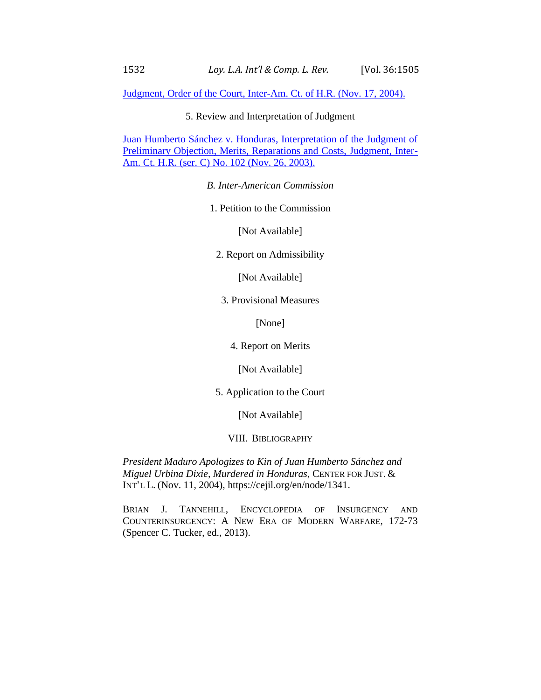[Judgment, Order of the Court, Inter-Am. Ct. of H.R. \(Nov. 17, 2004\).](https://iachr.lls.edu/sites/iachr.lls.edu/files/iachr/Court_and_Commission_Documents/Juan%20Humberto%20S%2B%C3%ADnchez%20v.%20Honduras.MonitoringCompliance.11.17.04.pdf)

5. Review and Interpretation of Judgment

[Juan Humberto Sánchez v. Honduras, Interpretation of the Judgment of](https://iachr.lls.edu/sites/iachr.lls.edu/files/iachr/Court_and_Commission_Documents/Juan%20Humberto%20S%2B%C3%ADnchez%20v.%20Honduras.InterpreationOfTheJudgment.11.26.03.pdf)  [Preliminary Objection, Merits, Reparations and Costs, Judgment, Inter-](https://iachr.lls.edu/sites/iachr.lls.edu/files/iachr/Court_and_Commission_Documents/Juan%20Humberto%20S%2B%C3%ADnchez%20v.%20Honduras.InterpreationOfTheJudgment.11.26.03.pdf)[Am. Ct. H.R. \(ser. C\) No. 102 \(Nov. 26, 2003\).](https://iachr.lls.edu/sites/iachr.lls.edu/files/iachr/Court_and_Commission_Documents/Juan%20Humberto%20S%2B%C3%ADnchez%20v.%20Honduras.InterpreationOfTheJudgment.11.26.03.pdf)

*B. Inter-American Commission*

1. Petition to the Commission

[Not Available]

2. Report on Admissibility

[Not Available]

3. Provisional Measures

[None]

4. Report on Merits

[Not Available]

5. Application to the Court

[Not Available]

VIII. BIBLIOGRAPHY

*President Maduro Apologizes to Kin of Juan Humberto Sánchez and Miguel Urbina Dixie, Murdered in Honduras*, CENTER FOR JUST. & INT'L L. (Nov. 11, 2004), https://cejil.org/en/node/1341.

BRIAN J. TANNEHILL, ENCYCLOPEDIA OF INSURGENCY AND COUNTERINSURGENCY: A NEW ERA OF MODERN WARFARE, 172-73 (Spencer C. Tucker, ed., 2013).